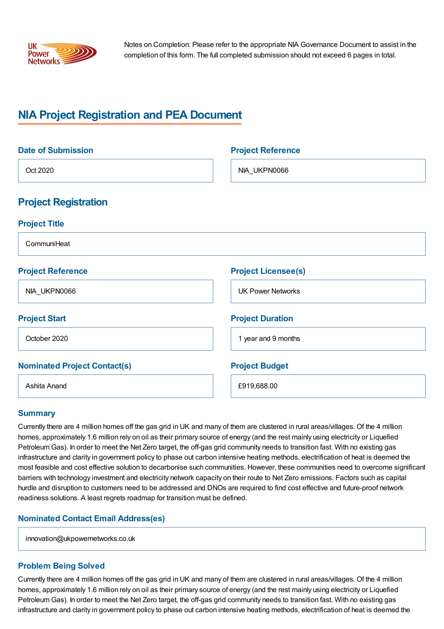

Notes on Completion: Please refer to the appropriate NIA Governance Document to assist in the completion of this form. The full completed submission should not exceed 6 pages in total.

# **NIA Project Registration and PEA Document**

| <b>Date of Submission</b>           | <b>Project Reference</b>   |
|-------------------------------------|----------------------------|
| Oct 2020                            | NIA_UKPN0066               |
| <b>Project Registration</b>         |                            |
| <b>Project Title</b>                |                            |
| CommuniHeat                         |                            |
| <b>Project Reference</b>            | <b>Project Licensee(s)</b> |
| NIA_UKPN0066                        | <b>UK Power Networks</b>   |
| <b>Project Start</b>                | <b>Project Duration</b>    |
| October 2020                        | 1 year and 9 months        |
| <b>Nominated Project Contact(s)</b> | <b>Project Budget</b>      |
| Ashita Anand                        | £919,688.00                |

#### **Summary**

Currently there are 4 million homes off the gas grid in UK and many of them are clustered in rural areas/villages. Of the 4 million homes, approximately 1.6 million rely on oil as their primary source of energy (and the rest mainly using electricity or Liquefied Petroleum Gas). In order to meet the Net Zero target, the off-gas grid community needs to transition fast. With no existing gas infrastructure and clarity in government policy to phase out carbon intensive heating methods, electrification of heat is deemed the most feasible and cost effective solution to decarbonise such communities. However, these communities need to overcome significant barriers with technology investment and electricity network capacity on their route to Net Zero emissions. Factors such as capital hurdle and disruption to customers need to be addressed and DNOs are required to find cost effective and future-proof network readiness solutions. A least regrets roadmap for transition must be defined.

## **Nominated Contact Email Address(es)**

innovation@ukpowernetworks.co.uk

## **Problem Being Solved**

Currently there are 4 million homes off the gas grid in UK and many of them are clustered in rural areas/villages. Of the 4 million homes, approximately 1.6 million rely on oil as their primary source of energy (and the rest mainly using electricity or Liquefied Petroleum Gas). In order to meet the Net Zero target, the off-gas grid community needs to transition fast. With no existing gas infrastructure and clarity in government policy to phase out carbon intensive heating methods, electrification of heat is deemed the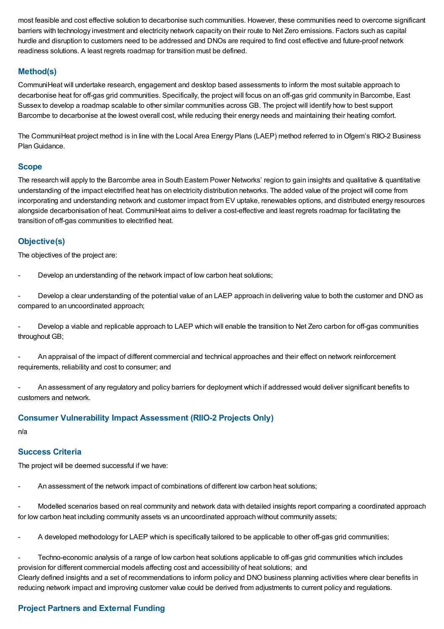most feasible and cost effective solution to decarbonise such communities. However, these communities need to overcome significant barriers with technology investment and electricity network capacity on their route to Net Zero emissions. Factors such as capital hurdle and disruption to customers need to be addressed and DNOs are required to find cost effective and future-proof network readiness solutions. A least regrets roadmap for transition must be defined.

## **Method(s)**

CommuniHeat will undertake research, engagement and desktop based assessments to inform the most suitable approach to decarbonise heat for off-gas grid communities. Specifically, the project will focus on an off-gas grid community in Barcombe, East Sussex to develop a roadmap scalable to other similar communities across GB. The project will identify how to best support Barcombe to decarbonise at the lowest overall cost, while reducing their energy needs and maintaining their heating comfort.

The CommuniHeat project method is in line with the Local Area Energy Plans (LAEP) method referred to in Ofgem's RIIO-2 Business Plan Guidance.

### **Scope**

The research will apply to the Barcombe area in South Eastern Power Networks' region to gain insights and qualitative & quantitative understanding of the impact electrified heat has on electricity distribution networks. The added value of the project will come from incorporating and understanding network and customer impact from EV uptake, renewables options, and distributed energy resources alongside decarbonisation of heat. CommuniHeat aims to deliver a cost-effective and least regrets roadmap for facilitating the transition of off-gas communities to electrified heat.

## **Objective(s)**

The objectives of the project are:

Develop an understanding of the network impact of low carbon heat solutions;

Develop a clear understanding of the potential value of an LAEP approach in delivering value to both the customer and DNO as compared to an uncoordinated approach;

Develop a viable and replicable approach to LAEP which will enable the transition to Net Zero carbon for off-gas communities throughout GB;

- An appraisal of the impact of different commercial and technical approaches and their effect on network reinforcement requirements, reliability and cost to consumer; and

- An assessment of any regulatory and policy barriers for deployment which if addressed would deliver significant benefits to customers and network.

## **Consumer Vulnerability Impact Assessment (RIIO-2 Projects Only)**

n/a

## **Success Criteria**

The project will be deemed successful if we have:

An assessment of the network impact of combinations of different low carbon heat solutions;

- Modelled scenarios based on real community and network data with detailed insights report comparing a coordinated approach for low carbon heat including community assets vs an uncoordinated approach without community assets;

A developed methodology for LAEP which is specifically tailored to be applicable to other off-gas grid communities;

- Techno-economic analysis of a range of low carbon heat solutions applicable to off-gas grid communities which includes provision for different commercial models affecting cost and accessibility of heat solutions; and Clearly defined insights and a set of recommendations to inform policy and DNO business planning activities where clear benefits in reducing network impact and improving customer value could be derived from adjustments to current policy and regulations.

## **Project Partners and External Funding**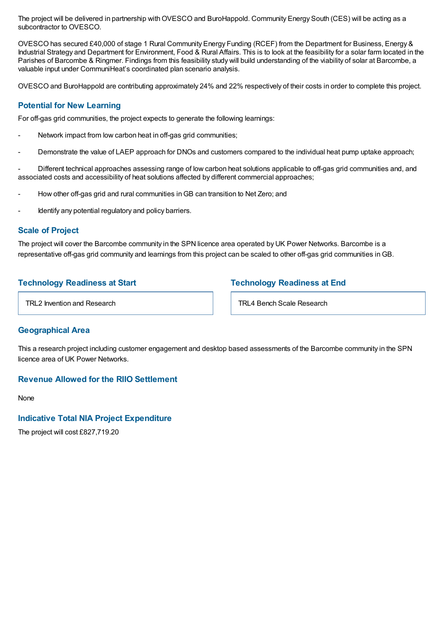The project will be delivered in partnership withOVESCO and BuroHappold. Community Energy South (CES) will be acting as a subcontractor to OVESCO.

OVESCO has secured £40,000 of stage 1 Rural Community Energy Funding (RCEF) from the Department for Business, Energy & Industrial Strategy and Department for Environment, Food & Rural Affairs. This is to look at the feasibility for a solar farm located in the Parishes of Barcombe & Ringmer. Findings from this feasibility study will build understanding of the viability of solar at Barcombe, a valuable input under CommuniHeat's coordinated plan scenario analysis.

OVESCO and BuroHappold are contributing approximately 24% and 22% respectively of their costs in order to complete this project.

### **Potential for New Learning**

For off-gas grid communities, the project expects to generate the following learnings:

- Network impact from low carbon heat in off-gas grid communities;
- Demonstrate the value of LAEP approach for DNOs and customers compared to the individual heat pump uptake approach;

- Different technical approaches assessing range of low carbon heat solutions applicable to off-gas grid communities and, and associated costs and accessibility of heat solutions affected by different commercial approaches;

- How other off-gas grid and rural communities inGB can transition to Net Zero; and
- Identify any potential regulatory and policy barriers.

#### **Scale of Project**

The project will cover the Barcombe community in the SPN licence area operated by UK Power Networks. Barcombe is a representative off-gas grid community and learnings from this project can be scaled to other off-gas grid communities inGB.

## **Technology Readiness at Start**

## **Technology Readiness at End**

TRL2 Invention and Research

TRL4 Bench Scale Research

#### **Geographical Area**

This a research project including customer engagement and desktop based assessments of the Barcombe community in the SPN licence area of UK Power Networks.

### **Revenue Allowed for the RIIO Settlement**

**None** 

#### **Indicative Total NIA Project Expenditure**

The project will cost £827,719.20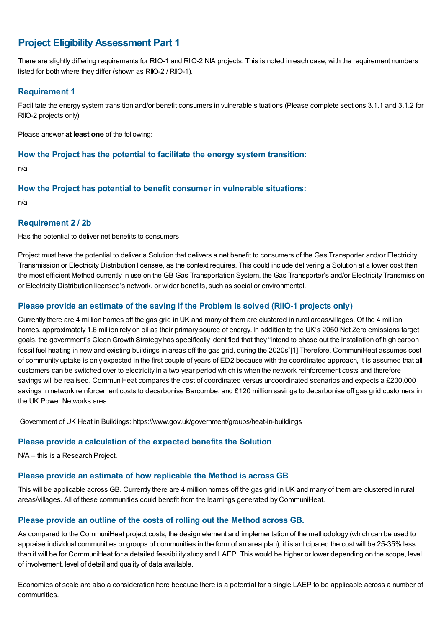## **Project EligibilityAssessment Part 1**

There are slightly differing requirements for RIIO-1 and RIIO-2 NIA projects. This is noted in each case, with the requirement numbers listed for both where they differ (shown as RIIO-2 / RIIO-1).

## **Requirement 1**

Facilitate the energy system transition and/or benefit consumers in vulnerable situations (Please complete sections 3.1.1 and 3.1.2 for RIIO-2 projects only)

Please answer **at least one** of the following:

### **How the Project has the potential to facilitate the energy system transition:**

n/a

## **How the Project has potential to benefit consumer in vulnerable situations:**

n/a

### **Requirement 2 / 2b**

Has the potential to deliver net benefits to consumers

Project must have the potential to deliver a Solution that delivers a net benefit to consumers of the Gas Transporter and/or Electricity Transmission or Electricity Distribution licensee, as the context requires. This could include delivering a Solution at a lower cost than the most efficient Method currently in use on the GB Gas Transportation System, the Gas Transporter's and/or Electricity Transmission or Electricity Distribution licensee's network, or wider benefits, such as social or environmental.

## **Please provide an estimate of the saving if the Problem is solved (RIIO-1 projects only)**

Currently there are 4 million homes off the gas grid in UK and many of them are clustered in rural areas/villages. Of the 4 million homes, approximately 1.6 million rely on oil as their primary source of energy. In addition to the UK's 2050 Net Zero emissions target goals, the government's CleanGrowth Strategy has specifically identified that they "intend to phase out the installation of high carbon fossil fuel heating in new and existing buildings in areas off the gas grid, during the 2020s"[1] Therefore, CommuniHeat assumes cost of community uptake is only expected in the first couple of years of ED2 because with the coordinated approach, it is assumed that all customers can be switched over to electricity in a two year period which is when the network reinforcement costs and therefore savings will be realised. CommuniHeat compares the cost of coordinated versus uncoordinated scenarios and expects a £200,000 savings in network reinforcement costs to decarbonise Barcombe, and £120 million savings to decarbonise off gas grid customers in the UK Power Networks area.

Government of UK Heat in Buildings: https://www.gov.uk/government/groups/heat-in-buildings

## **Please provide a calculation of the expected benefits the Solution**

N/A – this is a Research Project.

## **Please provide an estimate of how replicable the Method is across GB**

This will be applicable across GB. Currently there are 4 million homes off the gas grid in UK and many of them are clustered in rural areas/villages. All of these communities could benefit from the learnings generated by CommuniHeat.

## **Please provide an outline of the costs of rolling out the Method across GB.**

As compared to the CommuniHeat project costs, the design element and implementation of the methodology (which can be used to appraise individual communities or groups of communities in the form of an area plan), it is anticipated the cost will be 25-35% less than it will be for CommuniHeat for a detailed feasibility study and LAEP. This would be higher or lower depending on the scope, level of involvement, level of detail and quality of data available.

Economies of scale are also a consideration here because there is a potential for a single LAEP to be applicable across a number of communities.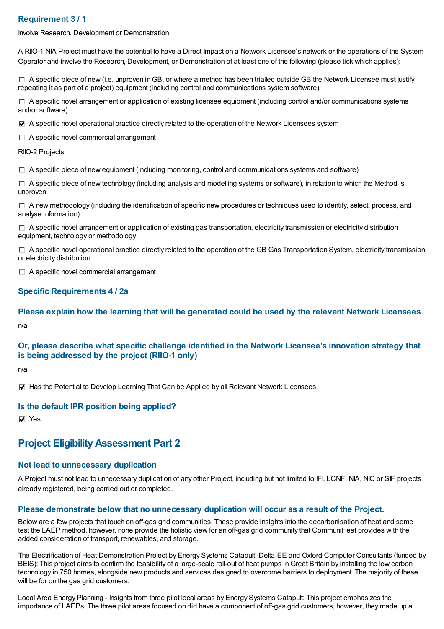## **Requirement 3 / 1**

Involve Research, Development or Demonstration

A RIIO-1 NIA Project must have the potential to have a Direct Impact on a Network Licensee's network or the operations of the System Operator and involve the Research, Development, or Demonstration of at least one of the following (please tick which applies):

 $\Box$  A specific piece of new (i.e. unproven in GB, or where a method has been trialled outside GB the Network Licensee must justify repeating it as part of a project) equipment (including control and communications system software).

 $\Box$  A specific novel arrangement or application of existing licensee equipment (including control and/or communications systems and/or software)

 $\blacktriangledown$  A specific novel operational practice directly related to the operation of the Network Licensees system

 $\Box$  A specific novel commercial arrangement

RIIO-2 Projects

 $\Box$  A specific piece of new equipment (including monitoring, control and communications systems and software)

 $\Box$  A specific piece of new technology (including analysis and modelling systems or software), in relation to which the Method is unproven

 $\Box$  A new methodology (including the identification of specific new procedures or techniques used to identify, select, process, and analyse information)

 $\Box$  A specific novel arrangement or application of existing gas transportation, electricity transmission or electricity distribution equipment, technology or methodology

 $\Box$  A specific novel operational practice directly related to the operation of the GB Gas Transportation System, electricity transmission or electricity distribution

 $\Box$  A specific novel commercial arrangement

### **Specific Requirements 4 / 2a**

**Please explain how the learning that will be generated could be used by the relevant Network Licensees** n/a

## **Or, please describe what specific challenge identified in the Network Licensee's innovation strategy that is being addressed by the project (RIIO-1 only)**

n/a

Has the Potential to Develop Learning That Can be Applied by all Relevant Network Licensees

#### **Is the default IPR position being applied?**

**⊽** Yes

## **Project EligibilityAssessment Part 2**

#### **Not lead to unnecessary duplication**

A Project must not lead to unnecessary duplication of any other Project, including but not limited to IFI, LCNF, NIA, NIC or SIF projects already registered, being carried out or completed.

#### **Please demonstrate below that no unnecessary duplication will occur as a result of the Project.**

Below are a few projects that touch on off-gas grid communities. These provide insights into the decarbonisation of heat and some test the LAEP method, however, none provide the holistic view for an off-gas grid community that CommuniHeat provides with the added consideration of transport, renewables, and storage.

The Electrification of Heat Demonstration Project by Energy Systems Catapult, Delta-EE and Oxford Computer Consultants (funded by BEIS): This project aims to confirm the feasibility of a large-scale roll-out of heat pumps in Great Britain by installing the low carbon technology in 750 homes, alongside new products and services designed to overcome barriers to deployment. The majority of these will be for on the gas grid customers.

Local Area Energy Planning - Insights from three pilot local areas by Energy Systems Catapult: This project emphasizes the importance of LAEPs. The three pilot areas focused on did have a component of off-gas grid customers, however, they made up a